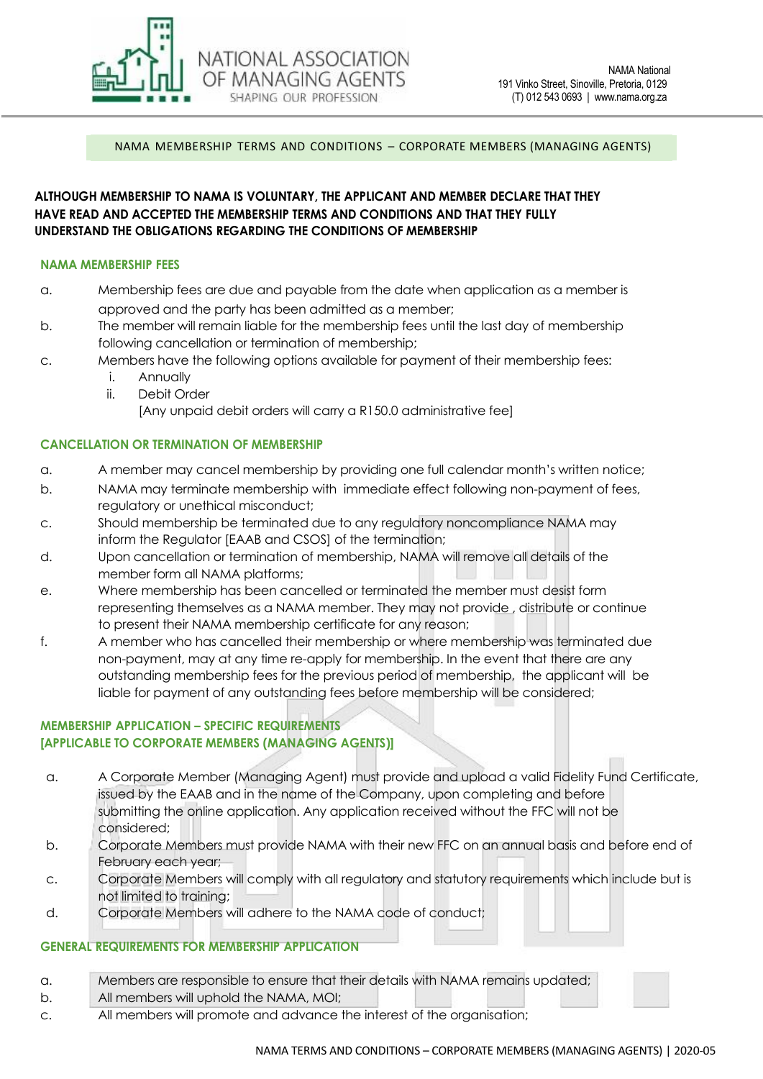

NAMA MEMBERSHIP TERMS AND CONDITIONS – CORPORATE MEMBERS (MANAGING AGENTS)

### **ALTHOUGH MEMBERSHIP TO NAMA IS VOLUNTARY, THE APPLICANT AND MEMBER DECLARE THAT THEY HAVE READ AND ACCEPTED THE MEMBERSHIP TERMS AND CONDITIONS AND THAT THEY FULLY UNDERSTAND THE OBLIGATIONS REGARDING THE CONDITIONS OF MEMBERSHIP**

NATIONAL ASSOCIATION OF MANAGING AGENTS SHAPING OUR PROFESSION

#### **NAMA MEMBERSHIP FEES**

- a. Membership fees are due and payable from the date when application as a member is approved and the party has been admitted as a member;
- b. The member will remain liable for the membership fees until the last day of membership following cancellation or termination of membership;
- c. Members have the following options available for payment of their membership fees:
	- i. Annually
	- ii. Debit Order

[Any unpaid debit orders will carry a R150.0 administrative fee]

#### **CANCELLATION OR TERMINATION OF MEMBERSHIP**

- a. A member may cancel membership by providing one full calendar month's written notice;
- b. NAMA may terminate membership with immediate effect following non-payment of fees, regulatory or unethical misconduct;
- c. Should membership be terminated due to any regulatory noncompliance NAMA may inform the Regulator [EAAB and CSOS] of the termination;
- d. Upon cancellation or termination of membership, NAMA will remove all details of the member form all NAMA platforms;
- e. Where membership has been cancelled or terminated the member must desist form representing themselves as a NAMA member. They may not provide , distribute or continue to present their NAMA membership certificate for any reason;
- f. A member who has cancelled their membership or where membership was terminated due non-payment, may at any time re-apply for membership. In the event that there are any outstanding membership fees for the previous period of membership, the applicant will be liable for payment of any outstanding fees before membership will be considered;

# **MEMBERSHIP APPLICATION – SPECIFIC REQUIREMENTS [APPLICABLE TO CORPORATE MEMBERS (MANAGING AGENTS)]**

- a. A Corporate Member (Managing Agent) must provide and upload a valid Fidelity Fund Certificate, issued by the EAAB and in the name of the Company, upon completing and before submitting the online application. Any application received without the FFC will not be considered;
- b. Corporate Members must provide NAMA with their new FFC on an annual basis and before end of February each year;
- c. Corporate Members will comply with all regulatory and statutory requirements which include but is not limited to training;
- d. Corporate Members will adhere to the NAMA code of conduct;

### **GENERAL REQUIREMENTS FOR MEMBERSHIP APPLICATION**

- a. Members are responsible to ensure that their details with NAMA remains updated;
- b. All members will uphold the NAMA, MOI;
- c. All members will promote and advance the interest of the organisation;